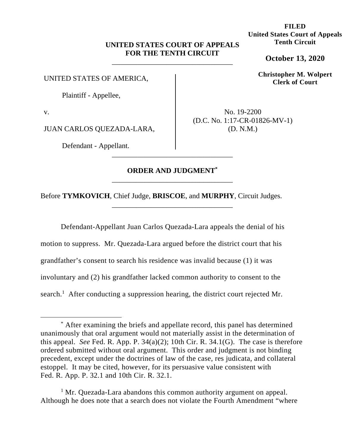# **UNITED STATES COURT OF APPEALS FOR THE TENTH CIRCUIT**

\_\_\_\_\_\_\_\_\_\_\_\_\_\_\_\_\_\_\_\_\_\_\_\_\_\_\_\_\_\_\_\_\_

UNITED STATES OF AMERICA,

Plaintiff - Appellee,

v.

JUAN CARLOS QUEZADA-LARA,

Defendant - Appellant.

No. 19-2200 (D.C. No. 1:17-CR-01826-MV-1) (D. N.M.)

# **ORDER AND JUDGMENT\*** \_\_\_\_\_\_\_\_\_\_\_\_\_\_\_\_\_\_\_\_\_\_\_\_\_\_\_\_\_\_\_\_\_

\_\_\_\_\_\_\_\_\_\_\_\_\_\_\_\_\_\_\_\_\_\_\_\_\_\_\_\_\_\_\_\_\_

\_\_\_\_\_\_\_\_\_\_\_\_\_\_\_\_\_\_\_\_\_\_\_\_\_\_\_\_\_\_\_\_\_

Before **TYMKOVICH**, Chief Judge, **BRISCOE**, and **MURPHY**, Circuit Judges.

Defendant-Appellant Juan Carlos Quezada-Lara appeals the denial of his motion to suppress. Mr. Quezada-Lara argued before the district court that his grandfather's consent to search his residence was invalid because (1) it was involuntary and (2) his grandfather lacked common authority to consent to the search.<sup>1</sup> After conducting a suppression hearing, the district court rejected Mr.

<sup>1</sup> Mr. Quezada-Lara abandons this common authority argument on appeal. Although he does note that a search does not violate the Fourth Amendment "where

**FILED United States Court of Appeals Tenth Circuit** 

**October 13, 2020**

**Christopher M. Wolpert Clerk of Court**

<sup>\*</sup> After examining the briefs and appellate record, this panel has determined unanimously that oral argument would not materially assist in the determination of this appeal. *See* Fed. R. App. P. 34(a)(2); 10th Cir. R. 34.1(G). The case is therefore ordered submitted without oral argument. This order and judgment is not binding precedent, except under the doctrines of law of the case, res judicata, and collateral estoppel. It may be cited, however, for its persuasive value consistent with Fed. R. App. P. 32.1 and 10th Cir. R. 32.1.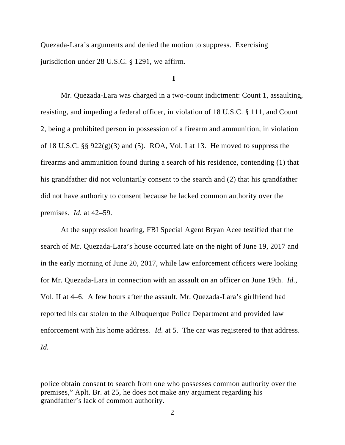Quezada-Lara's arguments and denied the motion to suppress. Exercising jurisdiction under 28 U.S.C. § 1291, we affirm.

# **I**

Mr. Quezada-Lara was charged in a two-count indictment: Count 1, assaulting, resisting, and impeding a federal officer, in violation of 18 U.S.C. § 111, and Count 2, being a prohibited person in possession of a firearm and ammunition, in violation of 18 U.S.C. §§  $922(g)(3)$  and (5). ROA, Vol. I at 13. He moved to suppress the firearms and ammunition found during a search of his residence, contending (1) that his grandfather did not voluntarily consent to the search and (2) that his grandfather did not have authority to consent because he lacked common authority over the premises. *Id.* at 42–59.

At the suppression hearing, FBI Special Agent Bryan Acee testified that the search of Mr. Quezada-Lara's house occurred late on the night of June 19, 2017 and in the early morning of June 20, 2017, while law enforcement officers were looking for Mr. Quezada-Lara in connection with an assault on an officer on June 19th. *Id.*, Vol. II at 4–6. A few hours after the assault, Mr. Quezada-Lara's girlfriend had reported his car stolen to the Albuquerque Police Department and provided law enforcement with his home address. *Id.* at 5. The car was registered to that address. *Id.* 

police obtain consent to search from one who possesses common authority over the premises," Aplt. Br. at 25, he does not make any argument regarding his grandfather's lack of common authority.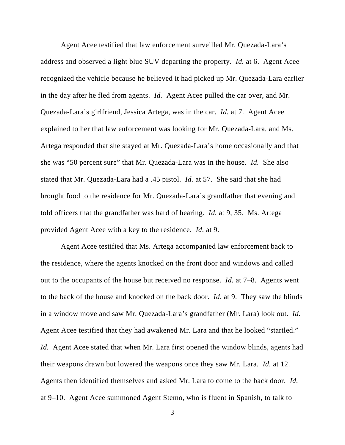Agent Acee testified that law enforcement surveilled Mr. Quezada-Lara's address and observed a light blue SUV departing the property. *Id.* at 6. Agent Acee recognized the vehicle because he believed it had picked up Mr. Quezada-Lara earlier in the day after he fled from agents. *Id.* Agent Acee pulled the car over, and Mr. Quezada-Lara's girlfriend, Jessica Artega, was in the car. *Id.* at 7. Agent Acee explained to her that law enforcement was looking for Mr. Quezada-Lara, and Ms. Artega responded that she stayed at Mr. Quezada-Lara's home occasionally and that she was "50 percent sure" that Mr. Quezada-Lara was in the house. *Id.* She also stated that Mr. Quezada-Lara had a .45 pistol. *Id.* at 57. She said that she had brought food to the residence for Mr. Quezada-Lara's grandfather that evening and told officers that the grandfather was hard of hearing. *Id.* at 9, 35. Ms. Artega provided Agent Acee with a key to the residence. *Id.* at 9.

Agent Acee testified that Ms. Artega accompanied law enforcement back to the residence, where the agents knocked on the front door and windows and called out to the occupants of the house but received no response. *Id.* at 7–8. Agents went to the back of the house and knocked on the back door. *Id.* at 9. They saw the blinds in a window move and saw Mr. Quezada-Lara's grandfather (Mr. Lara) look out. *Id.* Agent Acee testified that they had awakened Mr. Lara and that he looked "startled." *Id.* Agent Acee stated that when Mr. Lara first opened the window blinds, agents had their weapons drawn but lowered the weapons once they saw Mr. Lara. *Id.* at 12. Agents then identified themselves and asked Mr. Lara to come to the back door. *Id.* at 9–10. Agent Acee summoned Agent Stemo, who is fluent in Spanish, to talk to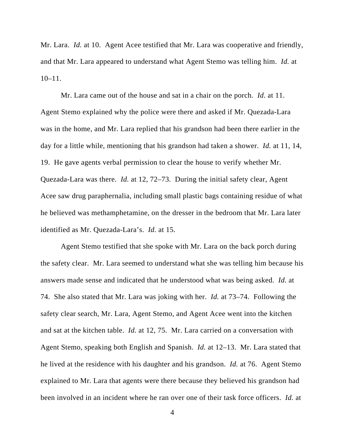Mr. Lara. *Id.* at 10. Agent Acee testified that Mr. Lara was cooperative and friendly, and that Mr. Lara appeared to understand what Agent Stemo was telling him. *Id.* at  $10-11$ .

Mr. Lara came out of the house and sat in a chair on the porch. *Id.* at 11. Agent Stemo explained why the police were there and asked if Mr. Quezada-Lara was in the home, and Mr. Lara replied that his grandson had been there earlier in the day for a little while, mentioning that his grandson had taken a shower. *Id.* at 11, 14, 19. He gave agents verbal permission to clear the house to verify whether Mr. Quezada-Lara was there. *Id.* at 12, 72–73. During the initial safety clear, Agent Acee saw drug paraphernalia, including small plastic bags containing residue of what he believed was methamphetamine, on the dresser in the bedroom that Mr. Lara later identified as Mr. Quezada-Lara's. *Id.* at 15.

Agent Stemo testified that she spoke with Mr. Lara on the back porch during the safety clear. Mr. Lara seemed to understand what she was telling him because his answers made sense and indicated that he understood what was being asked. *Id.* at 74. She also stated that Mr. Lara was joking with her. *Id.* at 73–74. Following the safety clear search, Mr. Lara, Agent Stemo, and Agent Acee went into the kitchen and sat at the kitchen table. *Id.* at 12, 75. Mr. Lara carried on a conversation with Agent Stemo, speaking both English and Spanish. *Id.* at 12–13. Mr. Lara stated that he lived at the residence with his daughter and his grandson. *Id.* at 76. Agent Stemo explained to Mr. Lara that agents were there because they believed his grandson had been involved in an incident where he ran over one of their task force officers. *Id.* at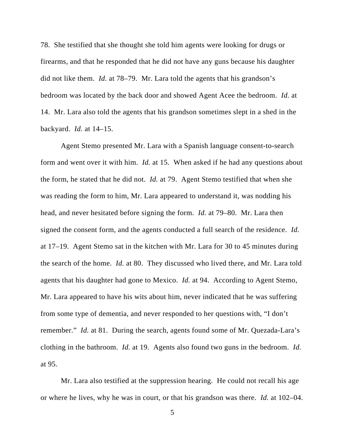78. She testified that she thought she told him agents were looking for drugs or firearms, and that he responded that he did not have any guns because his daughter did not like them. *Id.* at 78–79. Mr. Lara told the agents that his grandson's bedroom was located by the back door and showed Agent Acee the bedroom. *Id.* at 14. Mr. Lara also told the agents that his grandson sometimes slept in a shed in the backyard. *Id.* at 14–15.

Agent Stemo presented Mr. Lara with a Spanish language consent-to-search form and went over it with him. *Id.* at 15. When asked if he had any questions about the form, he stated that he did not. *Id.* at 79. Agent Stemo testified that when she was reading the form to him, Mr. Lara appeared to understand it, was nodding his head, and never hesitated before signing the form. *Id.* at 79–80. Mr. Lara then signed the consent form, and the agents conducted a full search of the residence. *Id.* at 17–19. Agent Stemo sat in the kitchen with Mr. Lara for 30 to 45 minutes during the search of the home. *Id.* at 80. They discussed who lived there, and Mr. Lara told agents that his daughter had gone to Mexico. *Id.* at 94. According to Agent Stemo, Mr. Lara appeared to have his wits about him, never indicated that he was suffering from some type of dementia, and never responded to her questions with, "I don't remember." *Id.* at 81. During the search, agents found some of Mr. Quezada-Lara's clothing in the bathroom. *Id.* at 19. Agents also found two guns in the bedroom. *Id.* at 95.

Mr. Lara also testified at the suppression hearing. He could not recall his age or where he lives, why he was in court, or that his grandson was there. *Id.* at 102–04.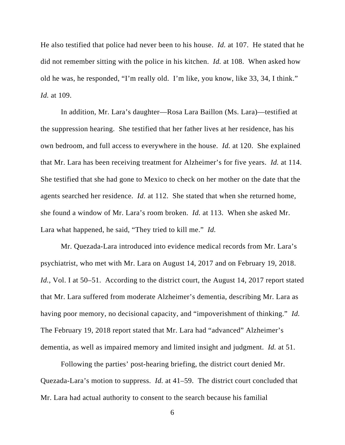He also testified that police had never been to his house. *Id.* at 107. He stated that he did not remember sitting with the police in his kitchen. *Id.* at 108. When asked how old he was, he responded, "I'm really old. I'm like, you know, like 33, 34, I think." *Id.* at 109.

In addition, Mr. Lara's daughter—Rosa Lara Baillon (Ms. Lara)—testified at the suppression hearing. She testified that her father lives at her residence, has his own bedroom, and full access to everywhere in the house. *Id.* at 120. She explained that Mr. Lara has been receiving treatment for Alzheimer's for five years. *Id.* at 114. She testified that she had gone to Mexico to check on her mother on the date that the agents searched her residence. *Id.* at 112. She stated that when she returned home, she found a window of Mr. Lara's room broken. *Id.* at 113. When she asked Mr. Lara what happened, he said, "They tried to kill me." *Id.*

Mr. Quezada-Lara introduced into evidence medical records from Mr. Lara's psychiatrist, who met with Mr. Lara on August 14, 2017 and on February 19, 2018. *Id.*, Vol. I at 50–51. According to the district court, the August 14, 2017 report stated that Mr. Lara suffered from moderate Alzheimer's dementia, describing Mr. Lara as having poor memory, no decisional capacity, and "impoverishment of thinking." *Id.*  The February 19, 2018 report stated that Mr. Lara had "advanced" Alzheimer's dementia, as well as impaired memory and limited insight and judgment. *Id.* at 51.

Following the parties' post-hearing briefing, the district court denied Mr. Quezada-Lara's motion to suppress. *Id.* at 41–59. The district court concluded that Mr. Lara had actual authority to consent to the search because his familial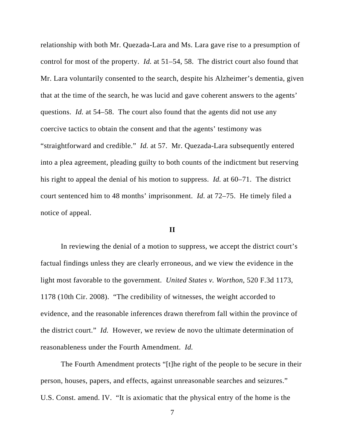relationship with both Mr. Quezada-Lara and Ms. Lara gave rise to a presumption of control for most of the property. *Id.* at 51–54, 58. The district court also found that Mr. Lara voluntarily consented to the search, despite his Alzheimer's dementia, given that at the time of the search, he was lucid and gave coherent answers to the agents' questions. *Id.* at 54–58. The court also found that the agents did not use any coercive tactics to obtain the consent and that the agents' testimony was "straightforward and credible." *Id.* at 57. Mr. Quezada-Lara subsequently entered into a plea agreement, pleading guilty to both counts of the indictment but reserving his right to appeal the denial of his motion to suppress. *Id.* at 60–71. The district court sentenced him to 48 months' imprisonment. *Id.* at 72–75. He timely filed a notice of appeal.

### **II**

In reviewing the denial of a motion to suppress, we accept the district court's factual findings unless they are clearly erroneous, and we view the evidence in the light most favorable to the government. *United States v. Worthon*, 520 F.3d 1173, 1178 (10th Cir. 2008). "The credibility of witnesses, the weight accorded to evidence, and the reasonable inferences drawn therefrom fall within the province of the district court." *Id.* However, we review de novo the ultimate determination of reasonableness under the Fourth Amendment. *Id.*

The Fourth Amendment protects "[t]he right of the people to be secure in their person, houses, papers, and effects, against unreasonable searches and seizures." U.S. Const. amend. IV. "It is axiomatic that the physical entry of the home is the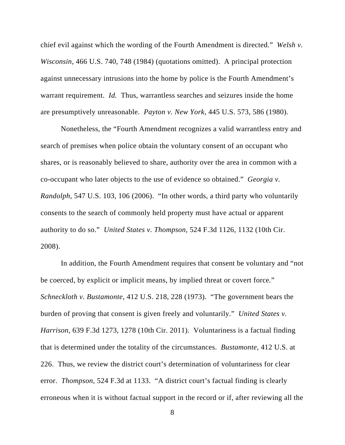chief evil against which the wording of the Fourth Amendment is directed." *Welsh v. Wisconsin*, 466 U.S. 740, 748 (1984) (quotations omitted). A principal protection against unnecessary intrusions into the home by police is the Fourth Amendment's warrant requirement. *Id.* Thus, warrantless searches and seizures inside the home are presumptively unreasonable. *Payton v. New York*, 445 U.S. 573, 586 (1980).

Nonetheless, the "Fourth Amendment recognizes a valid warrantless entry and search of premises when police obtain the voluntary consent of an occupant who shares, or is reasonably believed to share, authority over the area in common with a co-occupant who later objects to the use of evidence so obtained." *Georgia v. Randolph*, 547 U.S. 103, 106 (2006). "In other words, a third party who voluntarily consents to the search of commonly held property must have actual or apparent authority to do so." *United States v. Thompson*, 524 F.3d 1126, 1132 (10th Cir. 2008).

In addition, the Fourth Amendment requires that consent be voluntary and "not be coerced, by explicit or implicit means, by implied threat or covert force*.*" *Schneckloth v. Bustamonte*, 412 U.S. 218, 228 (1973). "The government bears the burden of proving that consent is given freely and voluntarily." *United States v. Harrison*, 639 F.3d 1273, 1278 (10th Cir. 2011). Voluntariness is a factual finding that is determined under the totality of the circumstances. *Bustamonte*, 412 U.S. at 226. Thus, we review the district court's determination of voluntariness for clear error. *Thompson*, 524 F.3d at 1133. "A district court's factual finding is clearly erroneous when it is without factual support in the record or if, after reviewing all the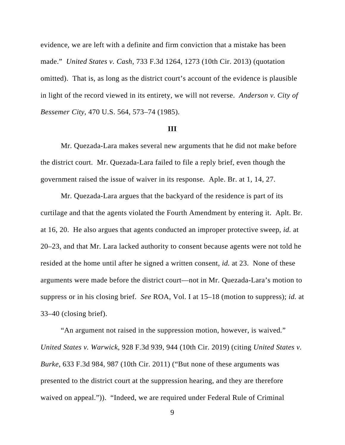evidence, we are left with a definite and firm conviction that a mistake has been made." *United States v. Cash*, 733 F.3d 1264, 1273 (10th Cir. 2013) (quotation omitted). That is, as long as the district court's account of the evidence is plausible in light of the record viewed in its entirety, we will not reverse. *Anderson v. City of Bessemer City*, 470 U.S. 564, 573–74 (1985).

#### **III**

Mr. Quezada-Lara makes several new arguments that he did not make before the district court. Mr. Quezada-Lara failed to file a reply brief, even though the government raised the issue of waiver in its response. Aple. Br. at 1, 14, 27.

Mr. Quezada-Lara argues that the backyard of the residence is part of its curtilage and that the agents violated the Fourth Amendment by entering it. Aplt. Br. at 16, 20. He also argues that agents conducted an improper protective sweep, *id.* at 20–23, and that Mr. Lara lacked authority to consent because agents were not told he resided at the home until after he signed a written consent, *id.* at 23. None of these arguments were made before the district court—not in Mr. Quezada-Lara's motion to suppress or in his closing brief. *See* ROA, Vol. I at 15–18 (motion to suppress); *id.* at 33–40 (closing brief).

"An argument not raised in the suppression motion, however, is waived*.*" *United States v. Warwick*, 928 F.3d 939, 944 (10th Cir. 2019) (citing *United States v. Burke*, 633 F.3d 984, 987 (10th Cir. 2011) ("But none of these arguments was presented to the district court at the suppression hearing, and they are therefore waived on appeal.")). "Indeed, we are required under Federal Rule of Criminal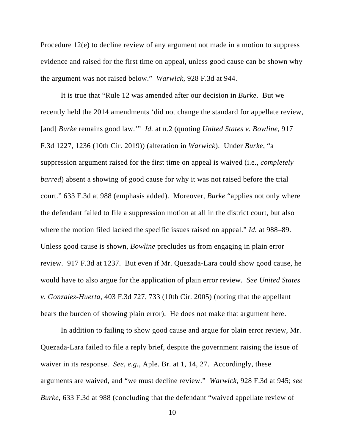Procedure 12(e) to decline review of any argument not made in a motion to suppress evidence and raised for the first time on appeal, unless good cause can be shown why the argument was not raised below." *Warwick*, 928 F.3d at 944.

It is true that "Rule 12 was amended after our decision in *Burke*. But we recently held the 2014 amendments 'did not change the standard for appellate review, [and] *Burke* remains good law.'" *Id.* at n.2 (quoting *United States v. Bowline*, 917 F.3d 1227, 1236 (10th Cir. 2019)) (alteration in *Warwick*). Under *Burke*, "a suppression argument raised for the first time on appeal is waived (i.e., *completely barred*) absent a showing of good cause for why it was not raised before the trial court." 633 F.3d at 988 (emphasis added). Moreover, *Burke* "applies not only where the defendant failed to file a suppression motion at all in the district court, but also where the motion filed lacked the specific issues raised on appeal." *Id.* at 988–89. Unless good cause is shown, *Bowline* precludes us from engaging in plain error review. 917 F.3d at 1237. But even if Mr. Quezada-Lara could show good cause, he would have to also argue for the application of plain error review. *See United States v. Gonzalez-Huerta*, 403 F.3d 727, 733 (10th Cir. 2005) (noting that the appellant bears the burden of showing plain error). He does not make that argument here.

In addition to failing to show good cause and argue for plain error review, Mr. Quezada-Lara failed to file a reply brief, despite the government raising the issue of waiver in its response. *See, e.g.*, Aple. Br. at 1, 14, 27. Accordingly, these arguments are waived, and "we must decline review." *Warwick*, 928 F.3d at 945; *see Burke*, 633 F.3d at 988 (concluding that the defendant "waived appellate review of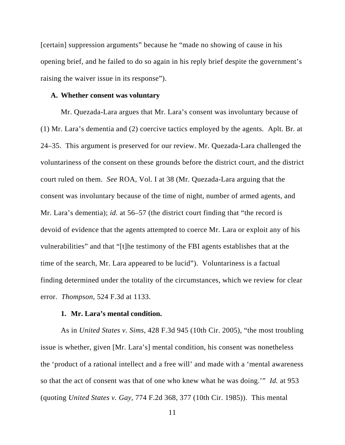[certain] suppression arguments" because he "made no showing of cause in his opening brief, and he failed to do so again in his reply brief despite the government's raising the waiver issue in its response").

#### **A. Whether consent was voluntary**

Mr. Quezada-Lara argues that Mr. Lara's consent was involuntary because of (1) Mr. Lara's dementia and (2) coercive tactics employed by the agents. Aplt. Br. at 24–35. This argument is preserved for our review. Mr. Quezada-Lara challenged the voluntariness of the consent on these grounds before the district court, and the district court ruled on them. *See* ROA, Vol. I at 38 (Mr. Quezada-Lara arguing that the consent was involuntary because of the time of night, number of armed agents, and Mr. Lara's dementia); *id.* at 56–57 (the district court finding that "the record is devoid of evidence that the agents attempted to coerce Mr. Lara or exploit any of his vulnerabilities" and that "[t]he testimony of the FBI agents establishes that at the time of the search, Mr. Lara appeared to be lucid"). Voluntariness is a factual finding determined under the totality of the circumstances, which we review for clear error. *Thompson*, 524 F.3d at 1133.

## **1. Mr. Lara's mental condition.**

As in *United States v. Sims*, 428 F.3d 945 (10th Cir. 2005), "the most troubling issue is whether, given [Mr. Lara's] mental condition, his consent was nonetheless the 'product of a rational intellect and a free will' and made with a 'mental awareness so that the act of consent was that of one who knew what he was doing.'" *Id.* at 953 (quoting *United States v. Gay*, 774 F.2d 368, 377 (10th Cir. 1985)). This mental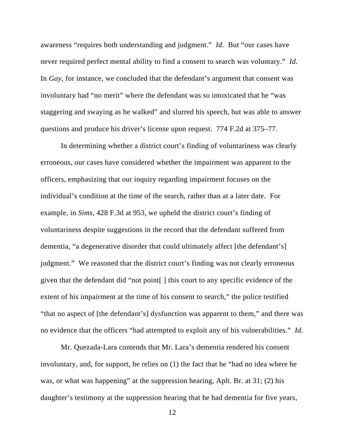awareness "requires both understanding and judgment." *Id.* But "our cases have never required perfect mental ability to find a consent to search was voluntary." *Id.*  In *Gay*, for instance, we concluded that the defendant's argument that consent was involuntary had "no merit" where the defendant was so intoxicated that he "was staggering and swaying as he walked" and slurred his speech, but was able to answer questions and produce his driver's license upon request. 774 F.2d at 375–77.

In determining whether a district court's finding of voluntariness was clearly erroneous, our cases have considered whether the impairment was apparent to the officers, emphasizing that our inquiry regarding impairment focuses on the individual's condition at the time of the search, rather than at a later date. For example, in *Sims*, 428 F.3d at 953, we upheld the district court's finding of voluntariness despite suggestions in the record that the defendant suffered from dementia, "a degenerative disorder that could ultimately affect [the defendant's] judgment." We reasoned that the district court's finding was not clearly erroneous given that the defendant did "not point[ ] this court to any specific evidence of the extent of his impairment at the time of his consent to search," the police testified "that no aspect of [the defendant's] dysfunction was apparent to them," and there was no evidence that the officers "had attempted to exploit any of his vulnerabilities." *Id.*

Mr. Quezada-Lara contends that Mr. Lara's dementia rendered his consent involuntary, and, for support, he relies on (1) the fact that he "had no idea where he was, or what was happening" at the suppression hearing, Aplt. Br. at 31; (2) his daughter's testimony at the suppression hearing that he had dementia for five years,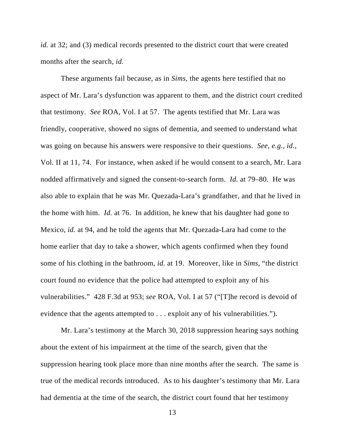*id.* at 32; and (3) medical records presented to the district court that were created months after the search, *id.* 

These arguments fail because, as in *Sims*, the agents here testified that no aspect of Mr. Lara's dysfunction was apparent to them, and the district court credited that testimony. *See* ROA, Vol. I at 57. The agents testified that Mr. Lara was friendly, cooperative, showed no signs of dementia, and seemed to understand what was going on because his answers were responsive to their questions. *See, e.g.*, *id.*, Vol. II at 11, 74. For instance, when asked if he would consent to a search, Mr. Lara nodded affirmatively and signed the consent-to-search form. *Id.* at 79–80. He was also able to explain that he was Mr. Quezada-Lara's grandfather, and that he lived in the home with him. *Id.* at 76. In addition, he knew that his daughter had gone to Mexico*, id.* at 94, and he told the agents that Mr. Quezada-Lara had come to the home earlier that day to take a shower, which agents confirmed when they found some of his clothing in the bathroom, *id.* at 19. Moreover, like in *Sims*, "the district court found no evidence that the police had attempted to exploit any of his vulnerabilities." 428 F.3d at 953; *see* ROA, Vol. I at 57 ("[T]he record is devoid of evidence that the agents attempted to . . . exploit any of his vulnerabilities.").

Mr. Lara's testimony at the March 30, 2018 suppression hearing says nothing about the extent of his impairment at the time of the search, given that the suppression hearing took place more than nine months after the search. The same is true of the medical records introduced. As to his daughter's testimony that Mr. Lara had dementia at the time of the search, the district court found that her testimony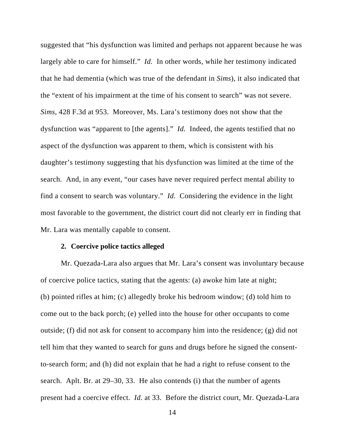suggested that "his dysfunction was limited and perhaps not apparent because he was largely able to care for himself." *Id.* In other words, while her testimony indicated that he had dementia (which was true of the defendant in *Sims*), it also indicated that the "extent of his impairment at the time of his consent to search" was not severe. *Sims*, 428 F.3d at 953. Moreover, Ms. Lara's testimony does not show that the dysfunction was "apparent to [the agents]." *Id.* Indeed, the agents testified that no aspect of the dysfunction was apparent to them, which is consistent with his daughter's testimony suggesting that his dysfunction was limited at the time of the search. And, in any event, "our cases have never required perfect mental ability to find a consent to search was voluntary." *Id.* Considering the evidence in the light most favorable to the government, the district court did not clearly err in finding that Mr. Lara was mentally capable to consent.

#### **2. Coercive police tactics alleged**

Mr. Quezada-Lara also argues that Mr. Lara's consent was involuntary because of coercive police tactics, stating that the agents: (a) awoke him late at night; (b) pointed rifles at him; (c) allegedly broke his bedroom window; (d) told him to come out to the back porch; (e) yelled into the house for other occupants to come outside; (f) did not ask for consent to accompany him into the residence; (g) did not tell him that they wanted to search for guns and drugs before he signed the consentto-search form; and (h) did not explain that he had a right to refuse consent to the search. Aplt. Br. at 29–30, 33. He also contends (i) that the number of agents present had a coercive effect. *Id.* at 33. Before the district court, Mr. Quezada-Lara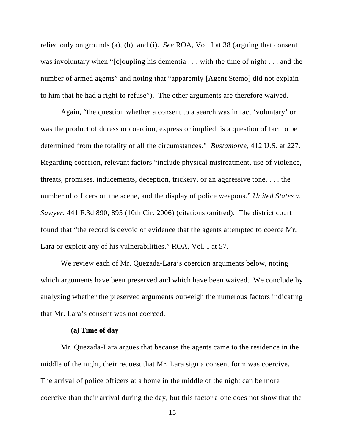relied only on grounds (a), (h), and (i). *See* ROA, Vol. I at 38 (arguing that consent was involuntary when "[c]oupling his dementia . . . with the time of night . . . and the number of armed agents" and noting that "apparently [Agent Stemo] did not explain to him that he had a right to refuse"). The other arguments are therefore waived.

Again, "the question whether a consent to a search was in fact 'voluntary' or was the product of duress or coercion, express or implied, is a question of fact to be determined from the totality of all the circumstances." *Bustamonte*, 412 U.S. at 227. Regarding coercion, relevant factors "include physical mistreatment, use of violence, threats, promises, inducements, deception, trickery, or an aggressive tone, . . . the number of officers on the scene, and the display of police weapons." *United States v. Sawyer*, 441 F.3d 890, 895 (10th Cir. 2006) (citations omitted). The district court found that "the record is devoid of evidence that the agents attempted to coerce Mr. Lara or exploit any of his vulnerabilities." ROA, Vol. I at 57.

We review each of Mr. Quezada-Lara's coercion arguments below, noting which arguments have been preserved and which have been waived. We conclude by analyzing whether the preserved arguments outweigh the numerous factors indicating that Mr. Lara's consent was not coerced.

## **(a) Time of day**

Mr. Quezada-Lara argues that because the agents came to the residence in the middle of the night, their request that Mr. Lara sign a consent form was coercive. The arrival of police officers at a home in the middle of the night can be more coercive than their arrival during the day, but this factor alone does not show that the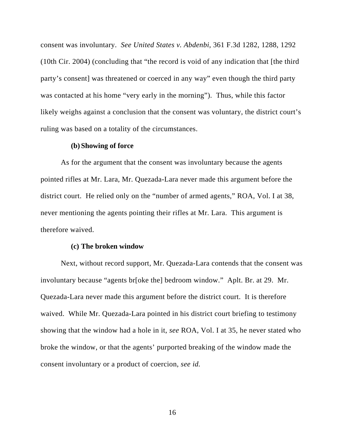consent was involuntary. *See United States v. Abdenbi*, 361 F.3d 1282, 1288, 1292 (10th Cir. 2004) (concluding that "the record is void of any indication that [the third party's consent] was threatened or coerced in any way" even though the third party was contacted at his home "very early in the morning"). Thus, while this factor likely weighs against a conclusion that the consent was voluntary, the district court's ruling was based on a totality of the circumstances.

#### **(b) Showing of force**

As for the argument that the consent was involuntary because the agents pointed rifles at Mr. Lara, Mr. Quezada-Lara never made this argument before the district court. He relied only on the "number of armed agents," ROA, Vol. I at 38, never mentioning the agents pointing their rifles at Mr. Lara. This argument is therefore waived.

#### **(c) The broken window**

Next, without record support, Mr. Quezada-Lara contends that the consent was involuntary because "agents br[oke the] bedroom window." Aplt. Br. at 29. Mr. Quezada-Lara never made this argument before the district court. It is therefore waived. While Mr. Quezada-Lara pointed in his district court briefing to testimony showing that the window had a hole in it, *see* ROA, Vol. I at 35, he never stated who broke the window, or that the agents' purported breaking of the window made the consent involuntary or a product of coercion, *see id.*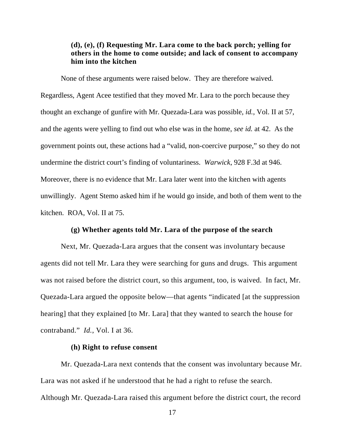# **(d), (e), (f) Requesting Mr. Lara come to the back porch; yelling for others in the home to come outside; and lack of consent to accompany him into the kitchen**

 None of these arguments were raised below. They are therefore waived. Regardless, Agent Acee testified that they moved Mr. Lara to the porch because they thought an exchange of gunfire with Mr. Quezada-Lara was possible, *id.*, Vol. II at 57, and the agents were yelling to find out who else was in the home, *see id.* at 42. As the government points out, these actions had a "valid, non-coercive purpose," so they do not undermine the district court's finding of voluntariness. *Warwick*, 928 F.3d at 946. Moreover, there is no evidence that Mr. Lara later went into the kitchen with agents unwillingly. Agent Stemo asked him if he would go inside, and both of them went to the kitchen. ROA, Vol. II at 75.

## **(g) Whether agents told Mr. Lara of the purpose of the search**

Next, Mr. Quezada-Lara argues that the consent was involuntary because agents did not tell Mr. Lara they were searching for guns and drugs. This argument was not raised before the district court, so this argument, too, is waived. In fact, Mr. Quezada-Lara argued the opposite below—that agents "indicated [at the suppression hearing] that they explained [to Mr. Lara] that they wanted to search the house for contraband." *Id.*, Vol. I at 36.

### **(h) Right to refuse consent**

Mr. Quezada-Lara next contends that the consent was involuntary because Mr. Lara was not asked if he understood that he had a right to refuse the search. Although Mr. Quezada-Lara raised this argument before the district court, the record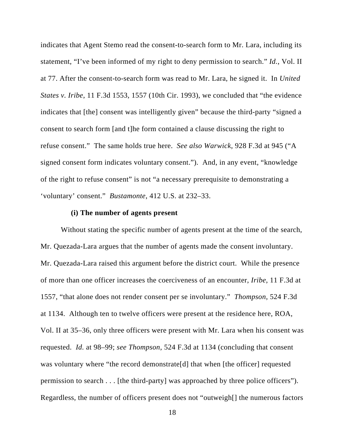indicates that Agent Stemo read the consent-to-search form to Mr. Lara, including its statement, "I've been informed of my right to deny permission to search." *Id.*, Vol. II at 77. After the consent-to-search form was read to Mr. Lara, he signed it. In *United States v. Iribe*, 11 F.3d 1553, 1557 (10th Cir. 1993), we concluded that "the evidence indicates that [the] consent was intelligently given" because the third-party "signed a consent to search form [and t]he form contained a clause discussing the right to refuse consent." The same holds true here. *See also Warwick*, 928 F.3d at 945 ("A signed consent form indicates voluntary consent."). And, in any event, "knowledge of the right to refuse consent" is not "a necessary prerequisite to demonstrating a 'voluntary' consent." *Bustamonte*, 412 U.S. at 232–33.

### **(i) The number of agents present**

Without stating the specific number of agents present at the time of the search, Mr. Quezada-Lara argues that the number of agents made the consent involuntary. Mr. Quezada-Lara raised this argument before the district court. While the presence of more than one officer increases the coerciveness of an encounter, *Iribe*, 11 F.3d at 1557, "that alone does not render consent per se involuntary." *Thompson*, 524 F.3d at 1134. Although ten to twelve officers were present at the residence here, ROA, Vol. II at 35–36, only three officers were present with Mr. Lara when his consent was requested. *Id.* at 98–99; *see Thompson*, 524 F.3d at 1134 (concluding that consent was voluntary where "the record demonstrate[d] that when [the officer] requested permission to search . . . [the third-party] was approached by three police officers"). Regardless, the number of officers present does not "outweigh[] the numerous factors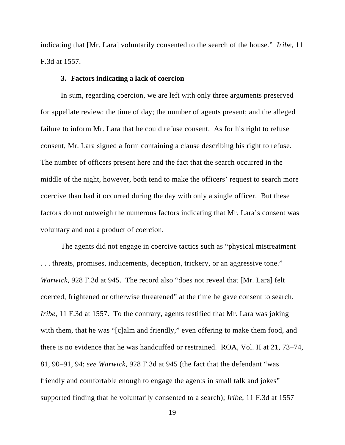indicating that [Mr. Lara] voluntarily consented to the search of the house." *Iribe*, 11 F.3d at 1557.

## **3. Factors indicating a lack of coercion**

In sum, regarding coercion, we are left with only three arguments preserved for appellate review: the time of day; the number of agents present; and the alleged failure to inform Mr. Lara that he could refuse consent. As for his right to refuse consent, Mr. Lara signed a form containing a clause describing his right to refuse. The number of officers present here and the fact that the search occurred in the middle of the night, however, both tend to make the officers' request to search more coercive than had it occurred during the day with only a single officer. But these factors do not outweigh the numerous factors indicating that Mr. Lara's consent was voluntary and not a product of coercion.

The agents did not engage in coercive tactics such as "physical mistreatment . . . threats, promises, inducements, deception, trickery, or an aggressive tone." *Warwick*, 928 F.3d at 945. The record also "does not reveal that [Mr. Lara] felt coerced, frightened or otherwise threatened" at the time he gave consent to search. *Iribe*, 11 F.3d at 1557. To the contrary, agents testified that Mr. Lara was joking with them, that he was "[c]alm and friendly," even offering to make them food, and there is no evidence that he was handcuffed or restrained. ROA, Vol. II at 21, 73–74, 81, 90–91, 94; *see Warwick*, 928 F.3d at 945 (the fact that the defendant "was friendly and comfortable enough to engage the agents in small talk and jokes" supported finding that he voluntarily consented to a search); *Iribe*, 11 F.3d at 1557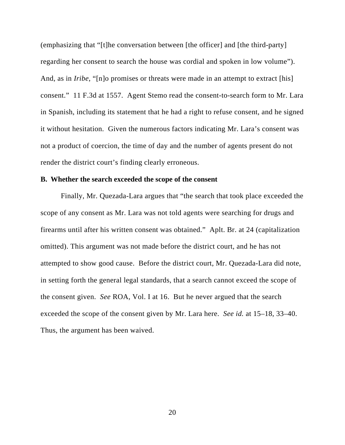(emphasizing that "[t]he conversation between [the officer] and [the third-party] regarding her consent to search the house was cordial and spoken in low volume"). And, as in *Iribe*, "[n]o promises or threats were made in an attempt to extract [his] consent." 11 F.3d at 1557. Agent Stemo read the consent-to-search form to Mr. Lara in Spanish, including its statement that he had a right to refuse consent, and he signed it without hesitation. Given the numerous factors indicating Mr. Lara's consent was not a product of coercion, the time of day and the number of agents present do not render the district court's finding clearly erroneous.

### **B. Whether the search exceeded the scope of the consent**

Finally, Mr. Quezada-Lara argues that "the search that took place exceeded the scope of any consent as Mr. Lara was not told agents were searching for drugs and firearms until after his written consent was obtained." Aplt. Br. at 24 (capitalization omitted). This argument was not made before the district court, and he has not attempted to show good cause. Before the district court, Mr. Quezada-Lara did note, in setting forth the general legal standards, that a search cannot exceed the scope of the consent given. *See* ROA, Vol. I at 16. But he never argued that the search exceeded the scope of the consent given by Mr. Lara here. *See id.* at 15–18, 33–40. Thus, the argument has been waived.